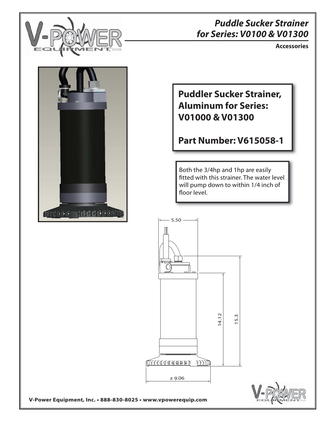

## *Puddle Sucker Strainer for Series: V0100 & V01300*

**Accessories**



**Puddler Sucker Strainer, Aluminum for Series: V01000 & V01300**

**Part Number: V615058-1**

Both the 3/4hp and 1hp are easily fitted with this strainer. The water level will pump down to within 1/4 inch of floor level.



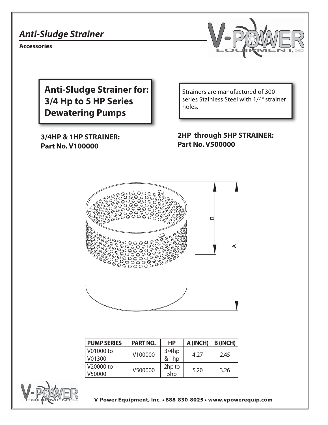# *Anti-Sludge Strainer*

**Accessories**



**Anti-Sludge Strainer for: 3/4 Hp to 5 HP Series Dewatering Pumps**

**3/4HP & 1HP STRAINER: Part No. V100000**

Strainers are manufactured of 300 series Stainless Steel with 1/4" strainer holes.

**2HP through 5HP STRAINER: Part No. V500000**



| <b>PUMP SERIES</b> | <b>PART NO.</b> | <b>HP</b> | A (INCH) | <b>B</b> (INCH) |
|--------------------|-----------------|-----------|----------|-----------------|
| V01000 to          | V100000         | 3/4hp     | 4.27     | 2.45            |
| V01300             |                 | $& 1$ hp  |          |                 |
| V20000 to          |                 | 2hp to    | 5.20     | 3.26            |
| V50000             | V500000         | 5hp       |          |                 |

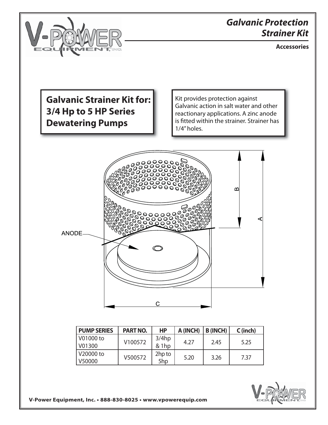# *Galvanic Protection Strainer Kit*



**Accessories**

**Galvanic Strainer Kit for: 3/4 Hp to 5 HP Series Dewatering Pumps**

Kit provides protection against Galvanic action in salt water and other reactionary applications. A zinc anode is fitted within the strainer. Strainer has 1/4" holes.



| <b>PUMP SERIES</b> | <b>PART NO.</b> | HP      | A (INCH) | <b>B</b> (INCH) | $C$ (inch) |
|--------------------|-----------------|---------|----------|-----------------|------------|
| V01000 to          | V100572         | 3/4hp   | 4.27     | 2.45            | 5.25       |
| V01300             |                 | $&$ 1hp |          |                 |            |
| V20000 to          | V500572         | 2hp to  | 5.20     | 3.26            | 7.37       |
| V50000             |                 | 5hp     |          |                 |            |